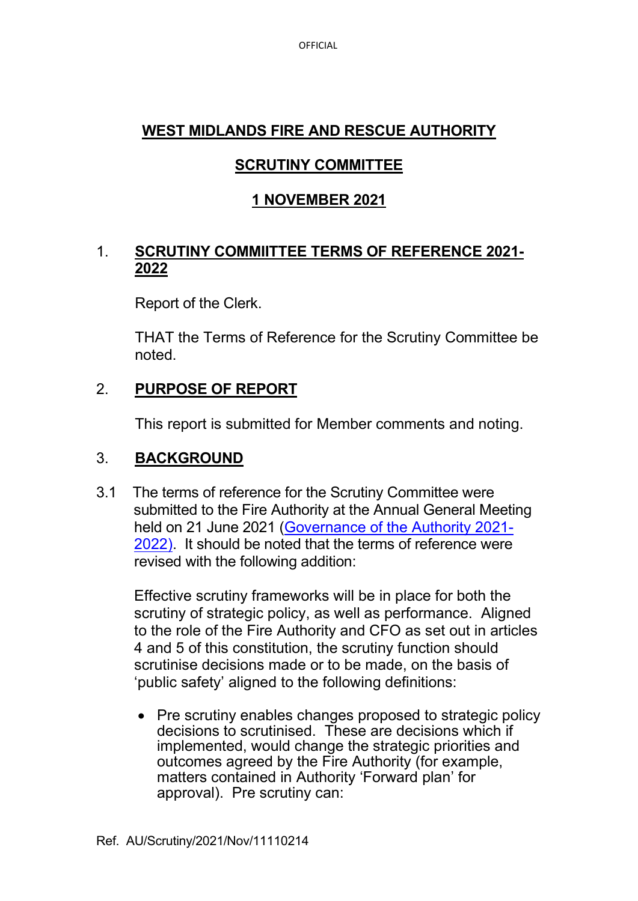OFFICIAL

#### **WEST MIDLANDS FIRE AND RESCUE AUTHORITY**

# **SCRUTINY COMMITTEE**

# **1 NOVEMBER 2021**

#### 1. **SCRUTINY COMMIITTEE TERMS OF REFERENCE 2021- 2022**

Report of the Clerk.

 THAT the Terms of Reference for the Scrutiny Committee be noted.

# 2. **PURPOSE OF REPORT**

This report is submitted for Member comments and noting.

#### 3. **BACKGROUND**

3.1 The terms of reference for the Scrutiny Committee were submitted to the Fire Authority at the Annual General Meeting held on 21 June 2021 [\(Governance of the Authority 2021-](https://wmfs.cmis.uk.com/cmis5/Document.ashx?czJKcaeAi5tUFL1DTL2UE4zNRBcoShgo=bd95yHmDS7F34D%2bVpblZ8W2dM%2fWIMViGl3Cz3TAawL2EqVjBnJ%2fqaA%3d%3d&rUzwRPf%2bZ3zd4E7Ikn8Lyw%3d%3d=pwRE6AGJFLDNlh225F5QMaQWCtPHwdhUfCZ%2fLUQzgA2uL5jNRG4jdQ%3d%3d&mCTIbCubSFfXsDGW9IXnlg%3d%3d=hFflUdN3100%3d&kCx1AnS9%2fpWZQ40DXFvdEw%3d%3d=hFflUdN3100%3d&uJovDxwdjMPoYv%2bAJvYtyA%3d%3d=ctNJFf55vVA%3d&FgPlIEJYlotS%2bYGoBi5olA%3d%3d=NHdURQburHA%3d&d9Qjj0ag1Pd993jsyOJqFvmyB7X0CSQK=ctNJFf55vVA%3d&WGewmoAfeNR9xqBux0r1Q8Za60lavYmz=ctNJFf55vVA%3d&WGewmoAfeNQ16B2MHuCpMRKZMwaG1PaO=ctNJFf55vVA%3d) [2022\).](https://wmfs.cmis.uk.com/cmis5/Document.ashx?czJKcaeAi5tUFL1DTL2UE4zNRBcoShgo=bd95yHmDS7F34D%2bVpblZ8W2dM%2fWIMViGl3Cz3TAawL2EqVjBnJ%2fqaA%3d%3d&rUzwRPf%2bZ3zd4E7Ikn8Lyw%3d%3d=pwRE6AGJFLDNlh225F5QMaQWCtPHwdhUfCZ%2fLUQzgA2uL5jNRG4jdQ%3d%3d&mCTIbCubSFfXsDGW9IXnlg%3d%3d=hFflUdN3100%3d&kCx1AnS9%2fpWZQ40DXFvdEw%3d%3d=hFflUdN3100%3d&uJovDxwdjMPoYv%2bAJvYtyA%3d%3d=ctNJFf55vVA%3d&FgPlIEJYlotS%2bYGoBi5olA%3d%3d=NHdURQburHA%3d&d9Qjj0ag1Pd993jsyOJqFvmyB7X0CSQK=ctNJFf55vVA%3d&WGewmoAfeNR9xqBux0r1Q8Za60lavYmz=ctNJFf55vVA%3d&WGewmoAfeNQ16B2MHuCpMRKZMwaG1PaO=ctNJFf55vVA%3d) It should be noted that the terms of reference were revised with the following addition:

Effective scrutiny frameworks will be in place for both the scrutiny of strategic policy, as well as performance. Aligned to the role of the Fire Authority and CFO as set out in articles 4 and 5 of this constitution, the scrutiny function should scrutinise decisions made or to be made, on the basis of 'public safety' aligned to the following definitions:

• Pre scrutiny enables changes proposed to strategic policy decisions to scrutinised. These are decisions which if implemented, would change the strategic priorities and outcomes agreed by the Fire Authority (for example, matters contained in Authority 'Forward plan' for approval). Pre scrutiny can: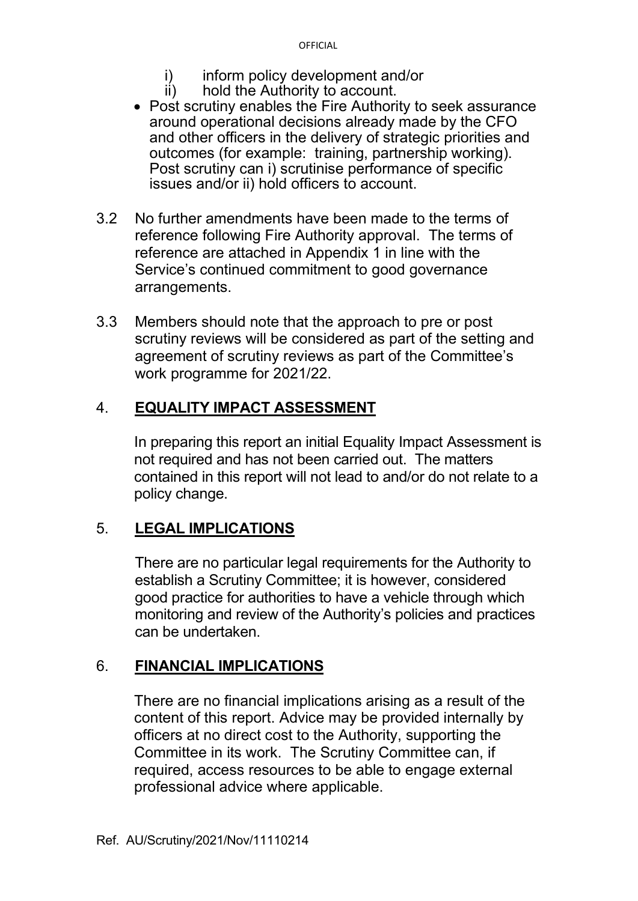- i) inform policy development and/or
- ii) hold the Authority to account.
- Post scrutiny enables the Fire Authority to seek assurance around operational decisions already made by the CFO and other officers in the delivery of strategic priorities and outcomes (for example: training, partnership working). Post scrutiny can i) scrutinise performance of specific issues and/or ii) hold officers to account.
- 3.2 No further amendments have been made to the terms of reference following Fire Authority approval. The terms of reference are attached in Appendix 1 in line with the Service's continued commitment to good governance arrangements.
- 3.3 Members should note that the approach to pre or post scrutiny reviews will be considered as part of the setting and agreement of scrutiny reviews as part of the Committee's work programme for 2021/22.

# 4. **EQUALITY IMPACT ASSESSMENT**

 In preparing this report an initial Equality Impact Assessment is not required and has not been carried out. The matters contained in this report will not lead to and/or do not relate to a policy change.

# 5. **LEGAL IMPLICATIONS**

 There are no particular legal requirements for the Authority to establish a Scrutiny Committee; it is however, considered good practice for authorities to have a vehicle through which monitoring and review of the Authority's policies and practices can be undertaken.

# 6. **FINANCIAL IMPLICATIONS**

 There are no financial implications arising as a result of the content of this report. Advice may be provided internally by officers at no direct cost to the Authority, supporting the Committee in its work. The Scrutiny Committee can, if required, access resources to be able to engage external professional advice where applicable.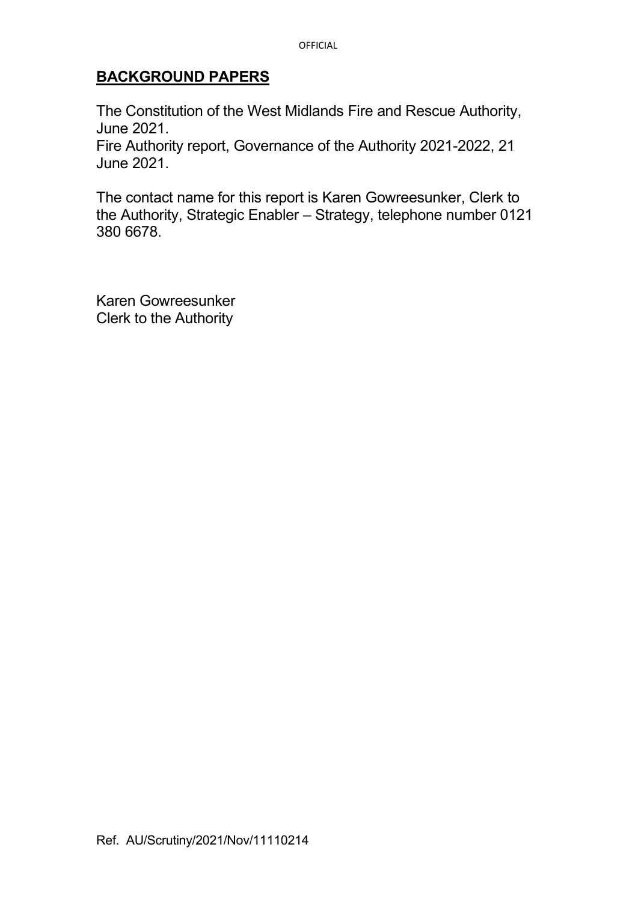#### **BACKGROUND PAPERS**

The Constitution of the West Midlands Fire and Rescue Authority, June 2021.

Fire Authority report, Governance of the Authority 2021-2022, 21 June 2021.

The contact name for this report is Karen Gowreesunker, Clerk to the Authority, Strategic Enabler – Strategy, telephone number 0121 380 6678.

Karen Gowreesunker Clerk to the Authority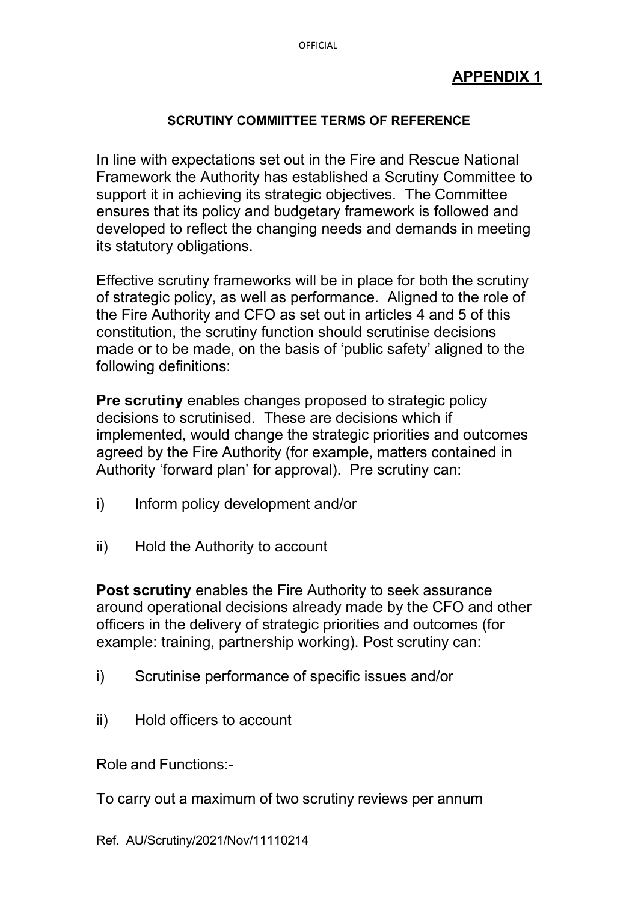#### **APPENDIX 1**

#### **SCRUTINY COMMIITTEE TERMS OF REFERENCE**

In line with expectations set out in the Fire and Rescue National Framework the Authority has established a Scrutiny Committee to support it in achieving its strategic objectives. The Committee ensures that its policy and budgetary framework is followed and developed to reflect the changing needs and demands in meeting its statutory obligations.

Effective scrutiny frameworks will be in place for both the scrutiny of strategic policy, as well as performance. Aligned to the role of the Fire Authority and CFO as set out in articles 4 and 5 of this constitution, the scrutiny function should scrutinise decisions made or to be made, on the basis of 'public safety' aligned to the following definitions:

**Pre scrutiny** enables changes proposed to strategic policy decisions to scrutinised. These are decisions which if implemented, would change the strategic priorities and outcomes agreed by the Fire Authority (for example, matters contained in Authority 'forward plan' for approval). Pre scrutiny can:

- i) Inform policy development and/or
- ii) Hold the Authority to account

**Post scrutiny** enables the Fire Authority to seek assurance around operational decisions already made by the CFO and other officers in the delivery of strategic priorities and outcomes (for example: training, partnership working). Post scrutiny can:

- i) Scrutinise performance of specific issues and/or
- ii) Hold officers to account

Role and Functions:-

To carry out a maximum of two scrutiny reviews per annum

Ref. AU/Scrutiny/2021/Nov/11110214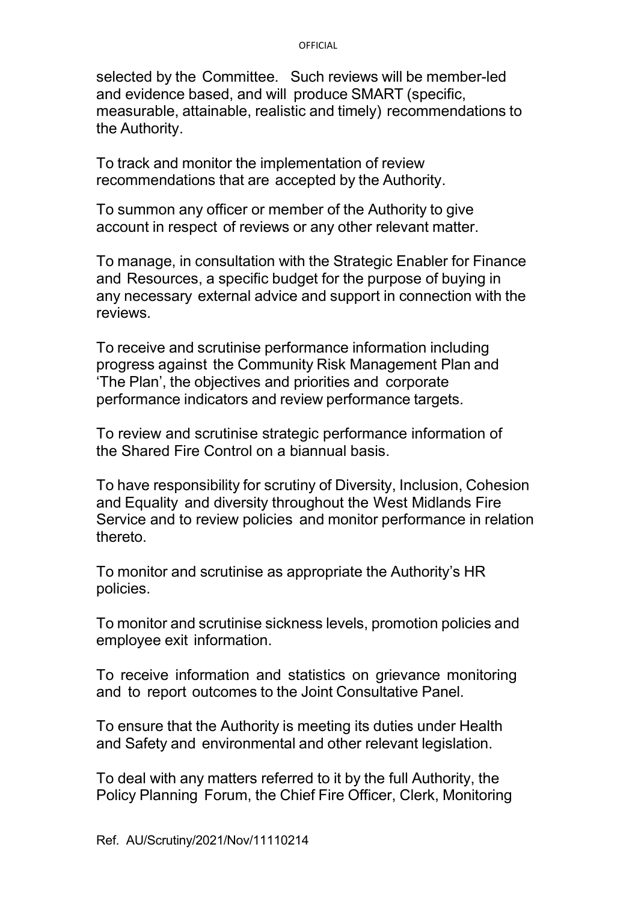#### **OFFICIAL**

selected by the Committee. Such reviews will be member-led and evidence based, and will produce SMART (specific, measurable, attainable, realistic and timely) recommendations to the Authority.

To track and monitor the implementation of review recommendations that are accepted by the Authority.

To summon any officer or member of the Authority to give account in respect of reviews or any other relevant matter.

To manage, in consultation with the Strategic Enabler for Finance and Resources, a specific budget for the purpose of buying in any necessary external advice and support in connection with the reviews.

To receive and scrutinise performance information including progress against the Community Risk Management Plan and 'The Plan', the objectives and priorities and corporate performance indicators and review performance targets.

To review and scrutinise strategic performance information of the Shared Fire Control on a biannual basis.

To have responsibility for scrutiny of Diversity, Inclusion, Cohesion and Equality and diversity throughout the West Midlands Fire Service and to review policies and monitor performance in relation thereto.

To monitor and scrutinise as appropriate the Authority's HR policies.

To monitor and scrutinise sickness levels, promotion policies and employee exit information.

To receive information and statistics on grievance monitoring and to report outcomes to the Joint Consultative Panel.

To ensure that the Authority is meeting its duties under Health and Safety and environmental and other relevant legislation.

To deal with any matters referred to it by the full Authority, the Policy Planning Forum, the Chief Fire Officer, Clerk, Monitoring